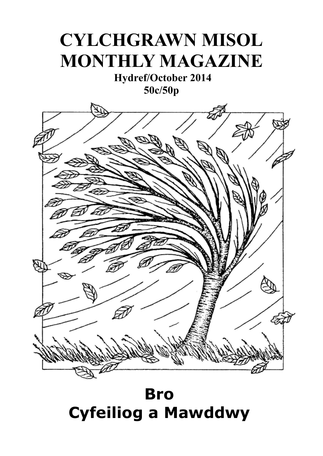# **CYLCHGRAWN MISOL MONTHLY MAGAZINE**

 **Hydref/October 2014 50c/50p**



**Bro Cyfeiliog a Mawddwy**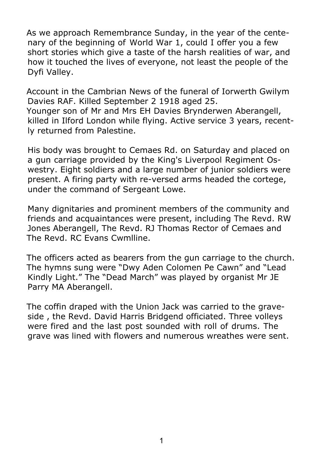As we approach Remembrance Sunday, in the year of the centenary of the beginning of World War 1, could I offer you a few short stories which give a taste of the harsh realities of war, and how it touched the lives of everyone, not least the people of the Dyfi Valley.

Account in the Cambrian News of the funeral of Iorwerth Gwilym Davies RAF. Killed September 2 1918 aged 25. Younger son of Mr and Mrs EH Davies Brynderwen Aberangell, killed in Ilford London while flying. Active service 3 years, recently returned from Palestine.

His body was brought to Cemaes Rd. on Saturday and placed on a gun carriage provided by the King's Liverpool Regiment Oswestry. Eight soldiers and a large number of junior soldiers were present. A firing party with re-versed arms headed the cortege, under the command of Sergeant Lowe.

Many dignitaries and prominent members of the community and friends and acquaintances were present, including The Revd. RW Jones Aberangell, The Revd. RJ Thomas Rector of Cemaes and The Revd. RC Evans Cwmlline.

The officers acted as bearers from the gun carriage to the church. The hymns sung were "Dwy Aden Colomen Pe Cawn" and "Lead Kindly Light." The "Dead March" was played by organist Mr JE Parry MA Aberangell.

The coffin draped with the Union Jack was carried to the graveside , the Revd. David Harris Bridgend officiated. Three volleys were fired and the last post sounded with roll of drums. The grave was lined with flowers and numerous wreathes were sent.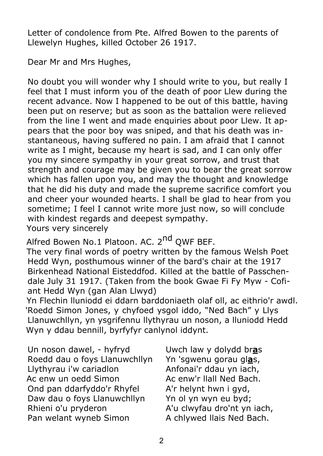Letter of condolence from Pte. Alfred Bowen to the parents of Llewelyn Hughes, killed October 26 1917.

Dear Mr and Mrs Hughes,

No doubt you will wonder why I should write to you, but really I feel that I must inform you of the death of poor Llew during the recent advance. Now I happened to be out of this battle, having been put on reserve; but as soon as the battalion were relieved from the line I went and made enquiries about poor Llew. It appears that the poor boy was sniped, and that his death was instantaneous, having suffered no pain. I am afraid that I cannot write as I might, because my heart is sad, and I can only offer you my sincere sympathy in your great sorrow, and trust that strength and courage may be given you to bear the great sorrow which has fallen upon you, and may the thought and knowledge that he did his duty and made the supreme sacrifice comfort you and cheer your wounded hearts. I shall be glad to hear from you sometime; I feel I cannot write more just now, so will conclude with kindest regards and deepest sympathy. Yours very sincerely

Alfred Bowen No.1 Platoon. AC. 2<sup>nd</sup> OWF BEF.

The very final words of poetry written by the famous Welsh Poet Hedd Wyn, posthumous winner of the bard's chair at the 1917 Birkenhead National Eisteddfod. Killed at the battle of Passchendale July 31 1917. (Taken from the book Gwae Fi Fy Myw - Cofiant Hedd Wyn (gan Alan Llwyd)

Yn Flechin lluniodd ei ddarn barddoniaeth olaf oll, ac eithrio'r awdl. 'Roedd Simon Jones, y chyfoed ysgol iddo, "Ned Bach" y Llys Llanuwchllyn, yn ysgrifennu llythyrau un noson, a lluniodd Hedd Wyn y ddau bennill, byrfyfyr canlynol iddynt.

Un noson dawel, - hyfryd Uwch law y dolydd br**a**s Roedd dau o foys Llanuwchllyn Yn 'sgwenu gorau gl**a**s, Llythyrau i'w cariadlon Anfonai'r ddau yn iach, Ac enw un oedd Simon Ac enw'r llall Ned Bach. Ond pan ddarfyddo'r Rhyfel A'r helynt hwn i gyd, Daw dau o foys Llanuwchllyn Yn ol yn wyn eu byd; Rhieni o'u pryderon A'u clwyfau dro'nt yn iach, Pan welant wyneb Simon A chlywed llais Ned Bach.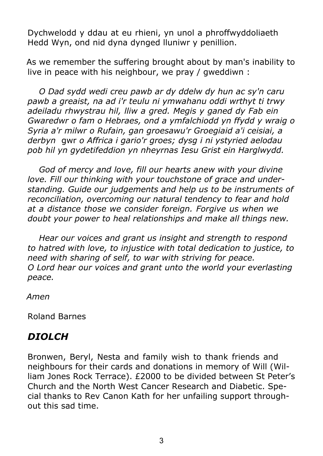Dychwelodd y ddau at eu rhieni, yn unol a phroffwyddoliaeth Hedd Wyn, ond nid dyna dynged lluniwr y penillion.

As we remember the suffering brought about by man's inability to live in peace with his neighbour, we pray / gweddiwn :

 *O Dad sydd wedi creu pawb ar dy ddelw dy hun ac sy'n caru pawb a greaist, na ad i'r teulu ni ymwahanu oddi wrthyt ti trwy adeiladu rhwystrau hil, lliw a gred. Megis y ganed dy Fab ein Gwaredwr o fam o Hebraes, ond a ymfalchiodd yn ffydd y wraig o Syria a'r milwr o Rufain, gan groesawu'r Groegiaid a'i ceisiai, a derbyn* gwr *o Affrica i gario'r groes; dysg i ni ystyried aelodau pob hil yn gydetifeddion yn nheyrnas Iesu Grist ein Harglwydd.*

 *God of mercy and love, fill our hearts anew with your divine love. Fill our thinking with your touchstone of grace and understanding. Guide our judgements and help us to be instruments of reconciliation, overcoming our natural tendency to fear and hold at a distance those we consider foreign. Forgive us when we doubt your power to heal relationships and make all things new.*

 *Hear our voices and grant us insight and strength to respond to hatred with love, to injustice with total dedication to justice, to need with sharing of self, to war with striving for peace. O Lord hear our voices and grant unto the world your everlasting peace.*

*Amen*

Roland Barnes

## *DIOLCH*

Bronwen, Beryl, Nesta and family wish to thank friends and neighbours for their cards and donations in memory of Will (William Jones Rock Terrace). £2000 to be divided between St Peter's Church and the North West Cancer Research and Diabetic. Special thanks to Rev Canon Kath for her unfailing support throughout this sad time.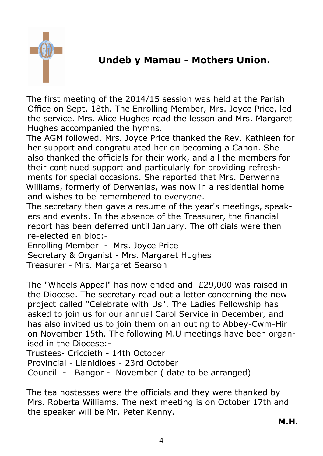

# **Undeb y Mamau - Mothers Union.**

The first meeting of the 2014/15 session was held at the Parish Office on Sept. 18th. The Enrolling Member, Mrs. Joyce Price, led the service. Mrs. Alice Hughes read the lesson and Mrs. Margaret Hughes accompanied the hymns.

The AGM followed. Mrs. Joyce Price thanked the Rev. Kathleen for her support and congratulated her on becoming a Canon. She also thanked the officials for their work, and all the members for their continued support and particularly for providing refreshments for special occasions. She reported that Mrs. Derwenna Williams, formerly of Derwenlas, was now in a residential home and wishes to be remembered to everyone.

The secretary then gave a resume of the year's meetings, speakers and events. In the absence of the Treasurer, the financial report has been deferred until January. The officials were then re-elected en bloc:-

Enrolling Member - Mrs. Joyce Price Secretary & Organist - Mrs. Margaret Hughes

Treasurer - Mrs. Margaret Searson

The "Wheels Appeal" has now ended and £29,000 was raised in the Diocese. The secretary read out a letter concerning the new project called "Celebrate with Us". The Ladies Fellowship has asked to join us for our annual Carol Service in December, and has also invited us to join them on an outing to Abbey-Cwm-Hir on November 15th. The following M.U meetings have been organised in the Diocese:-

Trustees- Criccieth - 14th October

Provincial - Llanidloes - 23rd October

Council - Bangor - November ( date to be arranged)

The tea hostesses were the officials and they were thanked by Mrs. Roberta Williams. The next meeting is on October 17th and the speaker will be Mr. Peter Kenny.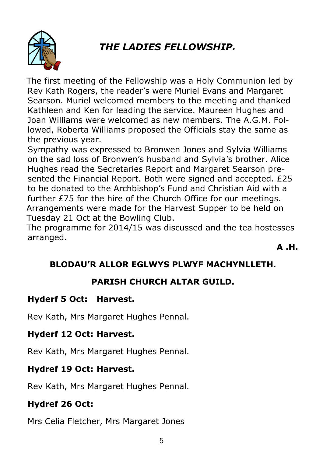# *THE LADIES FELLOWSHIP.*



The first meeting of the Fellowship was a Holy Communion led by Rev Kath Rogers, the reader's were Muriel Evans and Margaret Searson. Muriel welcomed members to the meeting and thanked Kathleen and Ken for leading the service. Maureen Hughes and Joan Williams were welcomed as new members. The A.G.M. Followed, Roberta Williams proposed the Officials stay the same as the previous year.

Sympathy was expressed to Bronwen Jones and Sylvia Williams on the sad loss of Bronwen's husband and Sylvia's brother. Alice Hughes read the Secretaries Report and Margaret Searson presented the Financial Report. Both were signed and accepted. £25 to be donated to the Archbishop's Fund and Christian Aid with a further £75 for the hire of the Church Office for our meetings. Arrangements were made for the Harvest Supper to be held on Tuesday 21 Oct at the Bowling Club.

The programme for 2014/15 was discussed and the tea hostesses arranged.

**A .H.**

#### **BLODAU'R ALLOR EGLWYS PLWYF MACHYNLLETH.**

#### **PARISH CHURCH ALTAR GUILD.**

#### **Hyderf 5 Oct: Harvest.**

Rev Kath, Mrs Margaret Hughes Pennal.

#### **Hyderf 12 Oct: Harvest.**

Rev Kath, Mrs Margaret Hughes Pennal.

#### **Hydref 19 Oct: Harvest.**

Rev Kath, Mrs Margaret Hughes Pennal.

#### **Hydref 26 Oct:**

Mrs Celia Fletcher, Mrs Margaret Jones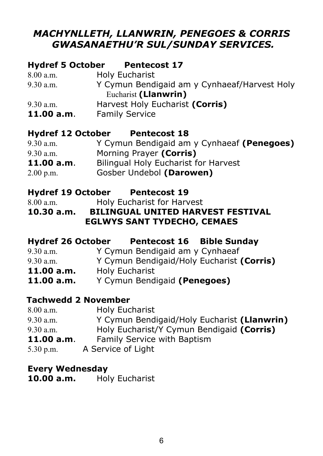# *MACHYNLLETH, LLANWRIN, PENEGOES & CORRIS GWASANAETHU'R SUL/SUNDAY SERVICES.*

|                          | Hydref 5 October Pentecost 17                |
|--------------------------|----------------------------------------------|
| 8.00 a.m.                | Holy Eucharist                               |
| 9.30 a.m.                | Y Cymun Bendigaid am y Cynhaeaf/Harvest Holy |
|                          | Eucharist (Llanwrin)                         |
| 9.30 a.m.                | Harvest Holy Eucharist (Corris)              |
| 11.00 a.m.               | <b>Family Service</b>                        |
| <b>Hydref 12 October</b> | <b>Pentecost 18</b>                          |

| Y Cymun Bendigaid am y Cynhaeaf (Penegoes) |
|--------------------------------------------|
|                                            |
| Bilingual Holy Eucharist for Harvest       |
|                                            |
|                                            |

|  |  | <b>Hydref 19 October</b> | <b>Pentecost 19</b> |  |
|--|--|--------------------------|---------------------|--|
|--|--|--------------------------|---------------------|--|

| 8.00 a.m. | Holy Eucharist for Harvest |
|-----------|----------------------------|
|-----------|----------------------------|

#### **10.30 a.m. BILINGUAL UNITED HARVEST FESTIVAL EGLWYS SANT TYDECHO, CEMAES**

| <b>Hydref 26 October</b> | <b>Pentecost 16 Bible Sunday</b>          |  |  |
|--------------------------|-------------------------------------------|--|--|
| $9.30$ a.m.              | Y Cymun Bendigaid am y Cynhaeaf           |  |  |
| 9.30 a.m.                | Y Cymun Bendigaid/Holy Eucharist (Corris) |  |  |
| 11.00 a.m.               | Holy Eucharist                            |  |  |

**11.00 a.m.** Y Cymun Bendigaid **(Penegoes)**

#### **Tachwedd 2 November**

| 8.00 a.m.   | Holy Eucharist                              |
|-------------|---------------------------------------------|
| $9.30$ a.m. | Y Cymun Bendigaid/Holy Eucharist (Llanwrin) |
| 9.30 a.m.   | Holy Eucharist/Y Cymun Bendigaid (Corris)   |
| 11.00 a.m.  | Family Service with Baptism                 |
| $5.30$ p.m. | A Service of Light                          |

#### **Every Wednesday**

10.00 a.m. Holy Eucharist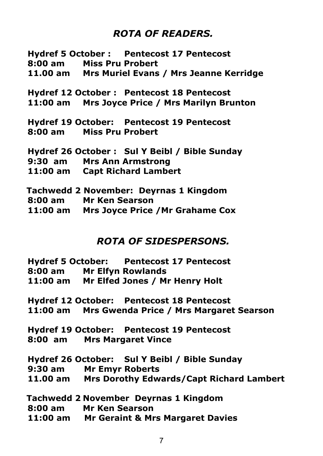#### *ROTA OF READERS.*

**Hydref 5 October : Pentecost 17 Pentecost 8:00 am Miss Pru Probert 11.00 am Mrs Muriel Evans / Mrs Jeanne Kerridge Hydref 12 October : Pentecost 18 Pentecost 11:00 am Mrs Joyce Price / Mrs Marilyn Brunton Hydref 19 October: Pentecost 19 Pentecost 8:00 am Miss Pru Probert Hydref 26 October : Sul Y Beibl / Bible Sunday 9:30 am Mrs Ann Armstrong 11:00 am Capt Richard Lambert Tachwedd 2 November: Deyrnas 1 Kingdom 8:00 am Mr Ken Searson 11:00 am Mrs Joyce Price /Mr Grahame Cox**

#### *ROTA OF SIDESPERSONS.*

**Hydref 5 October: Pentecost 17 Pentecost 8:00 am Mr Elfyn Rowlands 11:00 am Mr Elfed Jones / Mr Henry Holt Hydref 12 October: Pentecost 18 Pentecost 11:00 am Mrs Gwenda Price / Mrs Margaret Searson Hydref 19 October: Pentecost 19 Pentecost 8:00 am Mrs Margaret Vince Hydref 26 October: Sul Y Beibl / Bible Sunday 9:30 am Mr Emyr Roberts 11.00 am Mrs Dorothy Edwards/Capt Richard Lambert Tachwedd 2 November Deyrnas 1 Kingdom 8:00 am Mr Ken Searson 11:00 am Mr Geraint & Mrs Margaret Davies**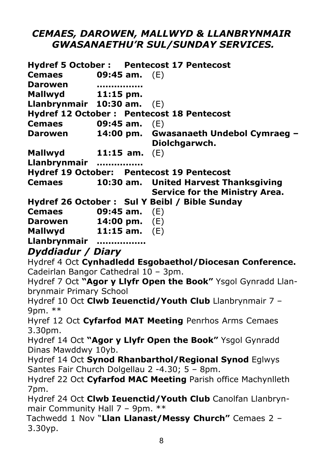# *CEMAES, DAROWEN, MALLWYD & LLANBRYNMAIR GWASANAETHU'R SUL/SUNDAY SERVICES.*

|                                                              |                 | Hydref 5 October: Pentecost 17 Pentecost                      |  |
|--------------------------------------------------------------|-----------------|---------------------------------------------------------------|--|
| <b>Cemaes</b>                                                | 09:45 am. $(E)$ |                                                               |  |
| <b>Darowen</b>                                               |                 |                                                               |  |
| Mallwyd                                                      | 11:15 pm.       |                                                               |  |
| Llanbrynmair 10:30 am.                                       |                 | (E)                                                           |  |
|                                                              |                 | Hydref 12 October: Pentecost 18 Pentecost                     |  |
| <b>Cemaes</b>                                                | 09:45 am.       | (E)                                                           |  |
| Darowen                                                      | 14:00 pm.       | Gwasanaeth Undebol Cymraeg -                                  |  |
|                                                              |                 | Diolchgarwch.                                                 |  |
| Mallwyd                                                      | $11:15$ am.     | (E)                                                           |  |
| Llanbrynmair                                                 |                 |                                                               |  |
|                                                              |                 | Hydref 19 October: Pentecost 19 Pentecost                     |  |
| <b>Cemaes</b>                                                |                 | 10:30 am. United Harvest Thanksgiving                         |  |
|                                                              |                 | <b>Service for the Ministry Area.</b>                         |  |
|                                                              |                 | Hydref 26 October: Sul Y Beibl / Bible Sunday                 |  |
| <b>Cemaes</b>                                                | 09:45 am. $(E)$ |                                                               |  |
| Darowen                                                      | 14:00 pm. $(E)$ |                                                               |  |
| Mallwyd                                                      | $11:15$ am.     | (E)                                                           |  |
| Llanbrynmair                                                 |                 |                                                               |  |
| Dyddiadur / Diary                                            |                 |                                                               |  |
|                                                              |                 | Hydref 4 Oct Cynhadledd Esgobaethol/Diocesan Conference.      |  |
| Cadeirlan Bangor Cathedral 10 - 3pm.                         |                 |                                                               |  |
|                                                              |                 | Hydref 7 Oct "Agor y Llyfr Open the Book" Ysgol Gynradd Llan- |  |
| brynmair Primary School                                      |                 |                                                               |  |
| 9pm. **                                                      |                 | Hydref 10 Oct Clwb Ieuenctid/Youth Club Llanbrynmair 7 -      |  |
|                                                              |                 | Hyref 12 Oct Cyfarfod MAT Meeting Penrhos Arms Cemaes         |  |
| 3.30pm.                                                      |                 |                                                               |  |
| Hydref 14 Oct "Agor y Llyfr Open the Book" Ysgol Gynradd     |                 |                                                               |  |
| Dinas Mawddwy 10yb.                                          |                 |                                                               |  |
| Hydref 14 Oct Synod Rhanbarthol/Regional Synod Eglwys        |                 |                                                               |  |
| Santes Fair Church Dolgellau 2 -4.30; 5 - 8pm.               |                 |                                                               |  |
| Hydref 22 Oct Cyfarfod MAC Meeting Parish office Machynlleth |                 |                                                               |  |
| 7pm.                                                         |                 |                                                               |  |
|                                                              |                 | Hydref 24 Oct Clwb Ieuenctid/Youth Club Canolfan Llanbryn-    |  |
| mair Community Hall 7 - 9pm. **                              |                 |                                                               |  |
|                                                              |                 | Tachwedd 1 Nov "Llan Llanast/Messy Church" Cemaes 2 -         |  |
| 3.30yp.                                                      |                 |                                                               |  |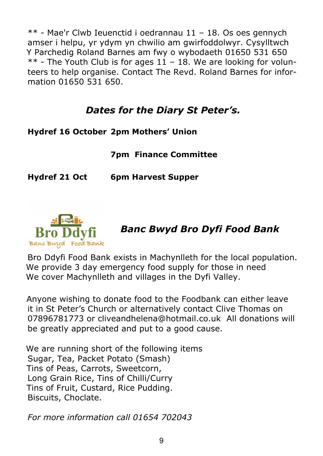\*\* - Mae'r Clwb Ieuenctid i oedrannau 11 – 18. Os oes gennych amser i helpu, yr ydym yn chwilio am gwirfoddolwyr. Cysylltwch Y Parchedig Roland Barnes am fwy o wybodaeth 01650 531 650  $**$  - The Youth Club is for ages  $11 - 18$ . We are looking for volunteers to help organise. Contact The Revd. Roland Barnes for information 01650 531 650.

### *Dates for the Diary St Peter's.*

**Hydref 16 October 2pm Mothers' Union**

 **7pm Finance Committee**

**Hydref 21 Oct 6pm Harvest Supper**



*Banc Bwyd Bro Dyfi Food Bank*

Bro Ddyfi Food Bank exists in Machynlleth for the local population. We provide 3 day emergency food supply for those in need We cover Machynlleth and villages in the Dyfi Valley.

Anyone wishing to donate food to the Foodbank can either leave it in St Peter's Church or alternatively contact Clive Thomas on 07896781773 or cliveandhelena@hotmail.co.uk All donations will be greatly appreciated and put to a good cause.

We are running short of the following items Sugar, Tea, Packet Potato (Smash) Tins of Peas, Carrots, Sweetcorn, Long Grain Rice, Tins of Chilli/Curry Tins of Fruit, Custard, Rice Pudding. Biscuits, Choclate.

*For more information call 01654 702043*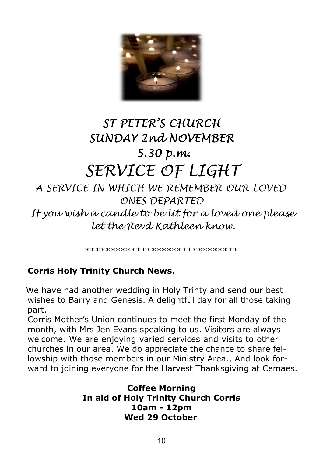

# ST PETER'S CHURCH SUNDAY 2nd NOVEMBER 5.30 p.m. *SERVICE OF LIGHT*

*A SERVICE IN WHICH WE REMEMBER OUR LOVED ONES DEPARTED If you wish a candle to be lit for a loved one please let the Revd Kathleen know.*

\*\*\*\*\*\*\*\*\*\*\*\*\*\*\*\*\*\*\*\*\*\*\*\*\*\*\*\*\*\*

#### **Corris Holy Trinity Church News.**

We have had another wedding in Holy Trinty and send our best wishes to Barry and Genesis. A delightful day for all those taking part.

Corris Mother's Union continues to meet the first Monday of the month, with Mrs Jen Evans speaking to us. Visitors are always welcome. We are enjoying varied services and visits to other churches in our area. We do appreciate the chance to share fellowship with those members in our Ministry Area., And look forward to joining everyone for the Harvest Thanksgiving at Cemaes.

> **Coffee Morning In aid of Holy Trinity Church Corris 10am - 12pm Wed 29 October**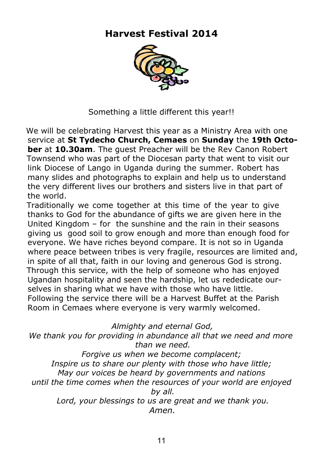### **Harvest Festival 2014**



Something a little different this year!!

We will be celebrating Harvest this year as a Ministry Area with one service at **St Tydecho Church, Cemaes** on **Sunday** the **19th October** at **10.30am**. The guest Preacher will be the Rev Canon Robert Townsend who was part of the Diocesan party that went to visit our link Diocese of Lango in Uganda during the summer. Robert has many slides and photographs to explain and help us to understand the very different lives our brothers and sisters live in that part of the world.

Traditionally we come together at this time of the year to give thanks to God for the abundance of gifts we are given here in the United Kingdom – for the sunshine and the rain in their seasons giving us good soil to grow enough and more than enough food for everyone. We have riches beyond compare. It is not so in Uganda where peace between tribes is very fragile, resources are limited and, in spite of all that, faith in our loving and generous God is strong. Through this service, with the help of someone who has enjoyed Ugandan hospitality and seen the hardship, let us rededicate ourselves in sharing what we have with those who have little. Following the service there will be a Harvest Buffet at the Parish Room in Cemaes where everyone is very warmly welcomed.

*Almighty and eternal God, We thank you for providing in abundance all that we need and more than we need.*

*Forgive us when we become complacent; Inspire us to share our plenty with those who have little; May our voices be heard by governments and nations until the time comes when the resources of your world are enjoyed by all. Lord, your blessings to us are great and we thank you.*

*Amen.*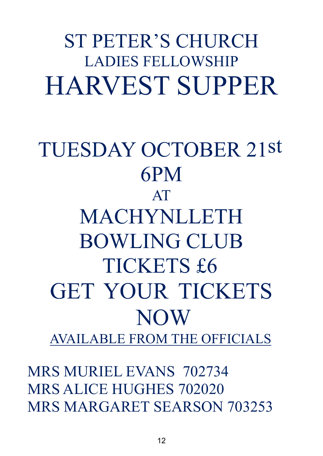# ST PETER'S CHURCH LADIES FELLOWSHIP HARVEST SUPPER

# TUESDAY OCTOBER 21st 6PM AT MACHYNLLETH BOWLING CLUB TICKETS £6 GET YOUR TICKETS NOW AVAILABLE FROM THE OFFICIALS

MRS MURIEL EVANS 702734 MRS ALICE HUGHES 702020 MRS MARGARET SEARSON 703253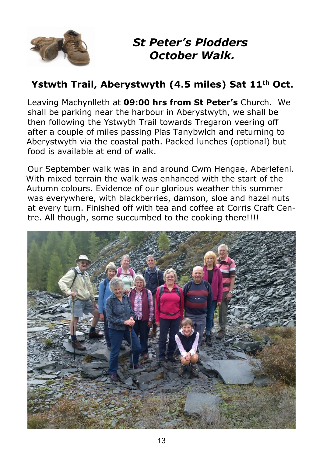

# *St Peter's Plodders October Walk.*

# **Ystwth Trail, Aberystwyth (4.5 miles) Sat 11th Oct.**

Leaving Machynlleth at **09:00 hrs from St Peter's** Church. We shall be parking near the harbour in Aberystwyth, we shall be then following the Ystwyth Trail towards Tregaron veering off after a couple of miles passing Plas Tanybwlch and returning to Aberystwyth via the coastal path. Packed lunches (optional) but food is available at end of walk.

Our September walk was in and around Cwm Hengae, Aberlefeni. With mixed terrain the walk was enhanced with the start of the Autumn colours. Evidence of our glorious weather this summer was everywhere, with blackberries, damson, sloe and hazel nuts at every turn. Finished off with tea and coffee at Corris Craft Centre. All though, some succumbed to the cooking there!!!!